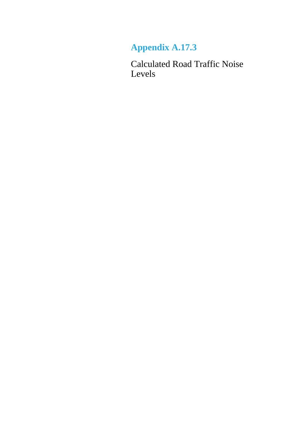## **Appendix A.17.3**

Calculated Road Traffic Noise Levels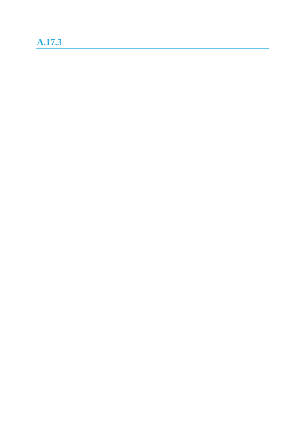## **A.17.3**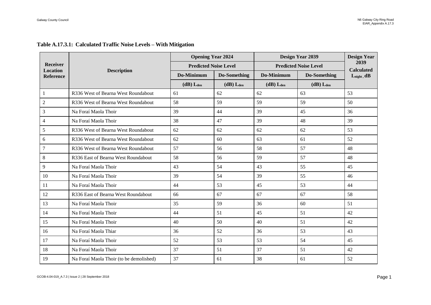|                                     |                                         |                  | <b>Opening Year 2024</b>     |                  | Design Year 2039             | <b>Design Year</b>        |
|-------------------------------------|-----------------------------------------|------------------|------------------------------|------------------|------------------------------|---------------------------|
| Receiver                            |                                         |                  | <b>Predicted Noise Level</b> |                  | <b>Predicted Noise Level</b> | 2039<br><b>Calculated</b> |
| <b>Location</b><br><b>Reference</b> | <b>Description</b>                      | Do-Minimum       | Do-Something                 | Do-Minimum       | Do-Something                 | $L_{night}, dB$           |
|                                     |                                         | $(dB)$ $L_{den}$ | $(dB)$ $L_{den}$             | $(dB)$ $L_{den}$ | $(dB)$ $L_{den}$             |                           |
| $\mathbf{1}$                        | R336 West of Bearna West Roundabout     | 61               | 62                           | 62               | 63                           | 53                        |
| $\overline{c}$                      | R336 West of Bearna West Roundabout     | 58               | 59                           | 59               | 59                           | 50                        |
| 3                                   | Na Foraí Maola Thoir                    | 39               | 44                           | 39               | 45                           | 36                        |
| 4                                   | Na Foraí Maola Thoir                    | 38               | 47                           | 39               | 48                           | 39                        |
| 5                                   | R336 West of Bearna West Roundabout     | 62               | 62                           | 62               | 62                           | 53                        |
| 6                                   | R336 West of Bearna West Roundabout     | 62               | 60                           | 63               | 61                           | 52                        |
| 7                                   | R336 West of Bearna West Roundabout     | 57               | 56                           | 58               | 57                           | 48                        |
| $\,8\,$                             | R336 East of Bearna West Roundabout     | 58               | 56                           | 59               | 57                           | 48                        |
| 9                                   | Na Foraí Maola Thoir                    | 43               | 54                           | 43               | 55                           | 45                        |
| 10                                  | Na Foraí Maola Thoir                    | 39               | 54                           | 39               | 55                           | 46                        |
| 11                                  | Na Foraí Maola Thoir                    | 44               | 53                           | 45               | 53                           | 44                        |
| 12                                  | R336 East of Bearna West Roundabout     | 66               | 67                           | 67               | 67                           | 58                        |
| 13                                  | Na Foraí Maola Thoir                    | 35               | 59                           | 36               | 60                           | 51                        |
| 14                                  | Na Foraí Maola Thoir                    | 44               | 51                           | 45               | 51                           | 42                        |
| 15                                  | Na Foraí Maola Thoir                    | 40               | 50                           | 40               | 51                           | 42                        |
| 16                                  | Na Foraí Maola Thiar                    | 36               | 52                           | 36               | 53                           | 43                        |
| 17                                  | Na Foraí Maola Thoir                    | 52               | 53                           | 53               | 54                           | 45                        |
| 18                                  | Na Foraí Maola Thoir                    | 37               | 51                           | 37               | 51                           | 42                        |
| 19                                  | Na Foraí Maola Thoir (to be demolished) | 37               | 61                           | 38               | 61                           | 52                        |

## **Table A.17.3.1: Calculated Traffic Noise Levels – With Mitigation**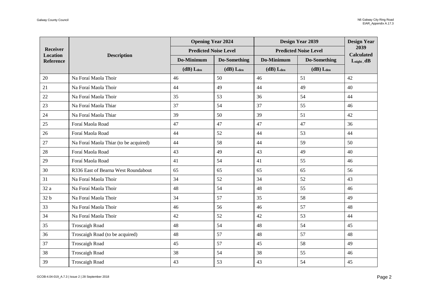|                             |                                       | <b>Opening Year 2024</b>     |                     | Design Year 2039 |                              | <b>Design Year</b>        |
|-----------------------------|---------------------------------------|------------------------------|---------------------|------------------|------------------------------|---------------------------|
| Receiver<br><b>Location</b> |                                       | <b>Predicted Noise Level</b> |                     |                  | <b>Predicted Noise Level</b> | 2039<br><b>Calculated</b> |
| <b>Reference</b>            | <b>Description</b>                    | Do-Minimum                   | <b>Do-Something</b> | Do-Minimum       | <b>Do-Something</b>          | $L_{night}$ , dB          |
|                             |                                       | $(dB)$ Lden                  | $(dB)$ $L_{den}$    | $(dB)$ $L_{den}$ | $(dB)$ $L_{den}$             |                           |
| 20                          | Na Foraí Maola Thoir                  | 46                           | 50                  | 46               | 51                           | 42                        |
| $21\,$                      | Na Foraí Maola Thoir                  | 44                           | 49                  | 44               | 49                           | 40                        |
| 22                          | Na Foraí Maola Thoir                  | 35                           | 53                  | 36               | 54                           | 44                        |
| 23                          | Na Foraí Maola Thiar                  | 37                           | 54                  | 37               | 55                           | 46                        |
| 24                          | Na Foraí Maola Thiar                  | 39                           | 50                  | 39               | 51                           | 42                        |
| 25                          | Foraí Maola Road                      | 47                           | 47                  | 47               | 47                           | 36                        |
| 26                          | Foraí Maola Road                      | 44                           | 52                  | 44               | 53                           | 44                        |
| 27                          | Na Foraí Maola Thiar (to be acquired) | 44                           | 58                  | 44               | 59                           | 50                        |
| 28                          | Foraí Maola Road                      | 43                           | 49                  | 43               | 49                           | 40                        |
| 29                          | Foraí Maola Road                      | 41                           | 54                  | 41               | 55                           | 46                        |
| 30                          | R336 East of Bearna West Roundabout   | 65                           | 65                  | 65               | 65                           | 56                        |
| 31                          | Na Foraí Maola Thoir                  | 34                           | 52                  | 34               | 52                           | 43                        |
| 32 a                        | Na Foraí Maola Thoir                  | 48                           | 54                  | 48               | 55                           | 46                        |
| 32 b                        | Na Foraí Maola Thoir                  | 34                           | 57                  | 35               | 58                           | 49                        |
| 33                          | Na Foraí Maola Thoir                  | 46                           | 56                  | 46               | 57                           | 48                        |
| 34                          | Na Foraí Maola Thoir                  | 42                           | 52                  | 42               | 53                           | 44                        |
| 35                          | <b>Troscaigh Road</b>                 | 48                           | 54                  | 48               | 54                           | 45                        |
| 36                          | Troscaigh Road (to be acquired)       | 48                           | 57                  | 48               | 57                           | 48                        |
| 37                          | <b>Troscaigh Road</b>                 | 45                           | 57                  | 45               | 58                           | 49                        |
| 38                          | Troscaigh Road                        | 38                           | 54                  | 38               | 55                           | 46                        |
| 39                          | <b>Troscaigh Road</b>                 | 43                           | 53                  | 43               | 54                           | 45                        |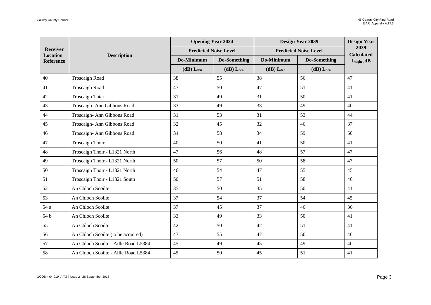|                             |                                      | <b>Opening Year 2024</b>     |                  | <b>Design Year 2039</b> |                              | <b>Design Year</b>        |
|-----------------------------|--------------------------------------|------------------------------|------------------|-------------------------|------------------------------|---------------------------|
| Receiver<br><b>Location</b> |                                      | <b>Predicted Noise Level</b> |                  |                         | <b>Predicted Noise Level</b> | 2039<br><b>Calculated</b> |
| <b>Reference</b>            | <b>Description</b>                   | Do-Minimum                   | Do-Something     | Do-Minimum              | Do-Something                 | $L_{night}$ , dB          |
|                             |                                      | $(dB)$ Lden                  | $(dB)$ $L_{den}$ | $(dB)$ $L_{den}$        | $(dB)$ L <sub>den</sub>      |                           |
| 40                          | <b>Troscaigh Road</b>                | 38                           | 55               | 38                      | 56                           | 47                        |
| 41                          | <b>Troscaigh Road</b>                | 47                           | 50               | 47                      | 51                           | 41                        |
| 42                          | <b>Troscaigh Thiar</b>               | 31                           | 49               | 31                      | 50                           | 41                        |
| 43                          | Troscaigh-Ann Gibbons Road           | 33                           | 49               | 33                      | 49                           | 40                        |
| 44                          | Troscaigh- Ann Gibbons Road          | 31                           | 53               | 31                      | 53                           | 44                        |
| 45                          | Troscaigh- Ann Gibbons Road          | 32                           | 45               | 32                      | 46                           | 37                        |
| 46                          | Troscaigh- Ann Gibbons Road          | 34                           | 58               | 34                      | 59                           | 50                        |
| 47                          | <b>Troscaigh Thoir</b>               | 40                           | 50               | 41                      | 50                           | 41                        |
| 48                          | Troscaigh Thoir - L1321 North        | 47                           | 56               | 48                      | 57                           | 47                        |
| 49                          | Troscaigh Thoir - L1321 North        | 50                           | 57               | 50                      | 58                           | 47                        |
| 50                          | Troscaigh Thoir - L1321 North        | 46                           | 54               | 47                      | 55                           | 45                        |
| 51                          | Troscaigh Thoir - L1321 South        | 50                           | 57               | 51                      | 58                           | 46                        |
| 52                          | An Chloch Scoilte                    | 35                           | 50               | 35                      | 50                           | 41                        |
| 53                          | An Chloch Scoilte                    | 37                           | 54               | 37                      | 54                           | 45                        |
| 54 a                        | An Chloch Scoilte                    | 37                           | 45               | 37                      | 46                           | 36                        |
| 54 b                        | An Chloch Scoilte                    | 33                           | 49               | 33                      | 50                           | 41                        |
| 55                          | An Chloch Scoilte                    | 42                           | 50               | 42                      | 51                           | 41                        |
| 56                          | An Chloch Scoilte (to be acquired)   | 47                           | 55               | 47                      | 56                           | 46                        |
| 57                          | An Chloch Scoilte - Aille Road L5384 | 45                           | 49               | 45                      | 49                           | 40                        |
| 58                          | An Chloch Scoilte - Aille Road L5384 | 45                           | 50               | 45                      | 51                           | 41                        |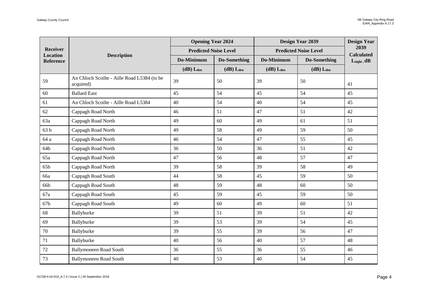|                              |                                                          | <b>Opening Year 2024</b>     |                  | Design Year 2039          |                              | <b>Design Year</b>        |
|------------------------------|----------------------------------------------------------|------------------------------|------------------|---------------------------|------------------------------|---------------------------|
| <b>Receiver</b>              |                                                          | <b>Predicted Noise Level</b> |                  |                           | <b>Predicted Noise Level</b> | 2039<br><b>Calculated</b> |
| Location<br><b>Reference</b> | <b>Description</b>                                       | Do-Minimum                   | Do-Something     | Do-Minimum                | Do-Something                 | $L_{night}$ , dB          |
|                              |                                                          | $(dB)$ $L_{den}$             | $(dB)$ $L_{den}$ | $(dB)$ $L$ <sub>den</sub> | $(dB)$ $L$ <sub>den</sub>    |                           |
| 59                           | An Chloch Scoilte - Aille Road L5384 (to be<br>acquired) | 39                           | 50               | 39                        | 50                           | 41                        |
| 60                           | <b>Ballard East</b>                                      | 45                           | 54               | 45                        | 54                           | 45                        |
| 61                           | An Chloch Scoilte - Aille Road L5384                     | 40                           | 54               | 40                        | 54                           | 45                        |
| 62                           | Cappagh Road North                                       | 46                           | 51               | 47                        | 51                           | 42                        |
| 63a                          | Cappagh Road North                                       | 49                           | 60               | 49                        | 61                           | 51                        |
| 63 b                         | Cappagh Road North                                       | 49                           | 58               | 49                        | 59                           | 50                        |
| 64 a                         | Cappagh Road North                                       | 46                           | 54               | 47                        | 55                           | 45                        |
| 64b                          | Cappagh Road North                                       | 36                           | 50               | 36                        | 51                           | 42                        |
| 65a                          | Cappagh Road North                                       | 47                           | 56               | 48                        | 57                           | 47                        |
| 65b                          | Cappagh Road North                                       | 39                           | 58               | 39                        | 58                           | 49                        |
| 66a                          | Cappagh Road South                                       | 44                           | 58               | 45                        | 59                           | 50                        |
| 66b                          | Cappagh Road South                                       | 48                           | 59               | 48                        | 60                           | 50                        |
| 67a                          | Cappagh Road South                                       | 45                           | 59               | 45                        | 59                           | 50                        |
| 67b                          | Cappagh Road South                                       | 49                           | 60               | 49                        | 60                           | 51                        |
| 68                           | Ballyburke                                               | 39                           | 51               | 39                        | 51                           | 42                        |
| 69                           | Ballyburke                                               | 39                           | 53               | 39                        | 54                           | 45                        |
| 70                           | Ballyburke                                               | 39                           | 55               | 39                        | 56                           | 47                        |
| 71                           | Ballyburke                                               | 40                           | 56               | 40                        | 57                           | 48                        |
| 72                           | <b>Ballymoneen Road South</b>                            | 36                           | 55               | 36                        | 55                           | 46                        |
| 73                           | <b>Ballymoneen Road South</b>                            | 40                           | 53               | 40                        | 54                           | 45                        |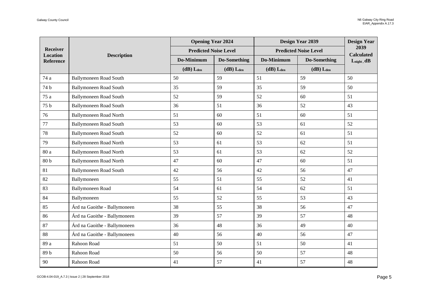|                             |                               | <b>Opening Year 2024</b>     |                     | Design Year 2039        |                              | <b>Design Year</b>        |
|-----------------------------|-------------------------------|------------------------------|---------------------|-------------------------|------------------------------|---------------------------|
| Receiver<br><b>Location</b> | <b>Description</b>            | <b>Predicted Noise Level</b> |                     |                         | <b>Predicted Noise Level</b> | 2039<br><b>Calculated</b> |
| <b>Reference</b>            |                               | Do-Minimum                   | <b>Do-Something</b> | Do-Minimum              | Do-Something                 | $L_{night}$ , dB          |
|                             |                               | $(dB)$ L <sub>den</sub>      | $(dB)$ $L_{den}$    | $(dB)$ L <sub>den</sub> | $(dB)$ $L_{den}$             |                           |
| 74 a                        | <b>Ballymoneen Road South</b> | 50                           | 59                  | 51                      | 59                           | 50                        |
| 74 b                        | <b>Ballymoneen Road South</b> | 35                           | 59                  | 35                      | 59                           | 50                        |
| 75 a                        | <b>Ballymoneen Road South</b> | 52                           | 59                  | 52                      | 60                           | 51                        |
| 75 b                        | <b>Ballymoneen Road South</b> | 36                           | 51                  | 36                      | 52                           | 43                        |
| 76                          | <b>Ballymoneen Road North</b> | 51                           | 60                  | 51                      | 60                           | 51                        |
| $77\,$                      | <b>Ballymoneen Road South</b> | 53                           | 60                  | 53                      | 61                           | 52                        |
| $78\,$                      | <b>Ballymoneen Road South</b> | 52                           | 60                  | 52                      | 61                           | 51                        |
| 79                          | <b>Ballymoneen Road North</b> | 53                           | 61                  | 53                      | 62                           | 51                        |
| 80 a                        | <b>Ballymoneen Road North</b> | 53                           | 61                  | 53                      | 62                           | 52                        |
| 80 <sub>b</sub>             | <b>Ballymoneen Road North</b> | 47                           | 60                  | 47                      | 60                           | 51                        |
| 81                          | <b>Ballymoneen Road South</b> | 42                           | 56                  | 42                      | 56                           | 47                        |
| 82                          | Ballymoneen                   | 55                           | 51                  | 55                      | 52                           | 41                        |
| 83                          | <b>Ballymoneen Road</b>       | 54                           | 61                  | 54                      | 62                           | 51                        |
| 84                          | Ballymoneen                   | 55                           | 52                  | 55                      | 53                           | 43                        |
| 85                          | Árd na Gaoithe - Ballymoneen  | 38                           | 55                  | 38                      | 56                           | 47                        |
| 86                          | Árd na Gaoithe - Ballymoneen  | 39                           | 57                  | 39                      | 57                           | 48                        |
| 87                          | Árd na Gaoithe - Ballymoneen  | 36                           | 48                  | 36                      | 49                           | 40                        |
| 88                          | Árd na Gaoithe - Ballymoneen  | 40                           | 56                  | 40                      | 56                           | 47                        |
| 89 a                        | Rahoon Road                   | 51                           | 50                  | 51                      | 50                           | 41                        |
| $89\,\mathrm{b}$            | Rahoon Road                   | 50                           | 56                  | 50                      | 57                           | 48                        |
| 90                          | Rahoon Road                   | 41                           | 57                  | 41                      | 57                           | 48                        |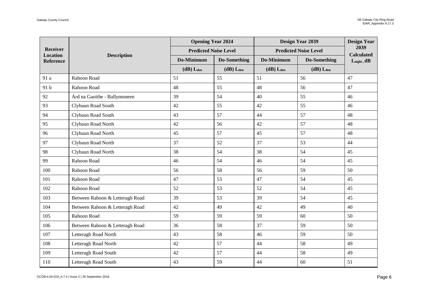|                             |                                 | <b>Opening Year 2024</b>     |                  | Design Year 2039 |                              | <b>Design Year</b>        |
|-----------------------------|---------------------------------|------------------------------|------------------|------------------|------------------------------|---------------------------|
| Receiver<br><b>Location</b> | <b>Description</b>              | <b>Predicted Noise Level</b> |                  |                  | <b>Predicted Noise Level</b> | 2039<br><b>Calculated</b> |
| <b>Reference</b>            |                                 | Do-Minimum                   | Do-Something     | Do-Minimum       | Do-Something                 | $L_{night}$ , dB          |
|                             |                                 | $(dB)$ Lden                  | $(dB)$ $L_{den}$ | $(dB)$ $L_{den}$ | $(dB)$ $L_{den}$             |                           |
| 91 a                        | Rahoon Road                     | 51                           | 55               | 51               | 56                           | 47                        |
| 91 b                        | Rahoon Road                     | 48                           | 55               | 48               | 56                           | 47                        |
| 92                          | Árd na Gaoithe - Ballymoneen    | 39                           | 54               | 40               | 55                           | 46                        |
| 93                          | Clybaun Road South              | 42                           | 55               | 42               | 55                           | 46                        |
| 94                          | Clybaun Road South              | 43                           | 57               | 44               | 57                           | 48                        |
| 95                          | Clybaun Road North              | 42                           | 56               | 42               | 57                           | 48                        |
| 96                          | Clybaun Road North              | 45                           | 57               | 45               | 57                           | 48                        |
| 97                          | Clybaun Road North              | 37                           | 52               | 37               | 53                           | 44                        |
| 98                          | Clybaun Road North              | 38                           | 54               | 38               | 54                           | 45                        |
| 99                          | Rahoon Road                     | 46                           | 54               | 46               | 54                           | 45                        |
| 100                         | Rahoon Road                     | 56                           | 58               | 56               | 59                           | 50                        |
| 101                         | Rahoon Road                     | 47                           | 53               | 47               | 54                           | 45                        |
| 102                         | Rahoon Road                     | 52                           | 53               | 52               | 54                           | 45                        |
| 103                         | Between Rahoon & Letteragh Road | 39                           | 53               | 39               | 54                           | 45                        |
| 104                         | Between Rahoon & Letteragh Road | 42                           | 49               | 42               | 49                           | 40                        |
| 105                         | Rahoon Road                     | 59                           | 59               | 59               | 60                           | 50                        |
| 106                         | Between Rahoon & Letteragh Road | 36                           | 58               | 37               | 59                           | 50                        |
| 107                         | Letteragh Road North            | 43                           | 58               | 46               | 59                           | 50                        |
| 108                         | Letteragh Road North            | 42                           | 57               | 44               | 58                           | 49                        |
| 109                         | Letteragh Road South            | 42                           | 57               | 44               | 58                           | 49                        |
| 110                         | Letteragh Road South            | 43                           | 59               | 44               | 60                           | 51                        |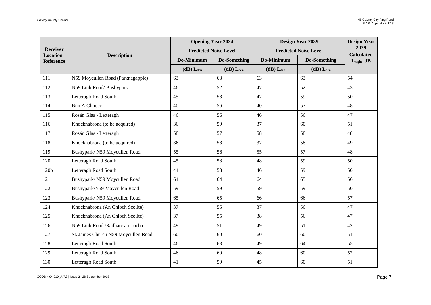|                              |                                     | <b>Opening Year 2024</b>     |                  | Design Year 2039 |                              | <b>Design Year</b>        |
|------------------------------|-------------------------------------|------------------------------|------------------|------------------|------------------------------|---------------------------|
| Receiver                     |                                     | <b>Predicted Noise Level</b> |                  |                  | <b>Predicted Noise Level</b> | 2039<br><b>Calculated</b> |
| Location<br><b>Reference</b> | <b>Description</b>                  | Do-Minimum                   | Do-Something     | Do-Minimum       | <b>Do-Something</b>          | $L_{night}$ , dB          |
|                              |                                     | $(dB)$ $L_{den}$             | $(dB)$ $L_{den}$ | $(dB)$ $L_{den}$ | $(dB)$ $L_{den}$             |                           |
| 111                          | N59 Moycullen Road (Parknagapple)   | 63                           | 63               | 63               | 63                           | 54                        |
| 112                          | N59 Link Road/Bushypark             | 46                           | 52               | 47               | 52                           | 43                        |
| 113                          | Letteragh Road South                | 45                           | 58               | 47               | 59                           | 50                        |
| 114                          | <b>Bun A Chnocc</b>                 | 40                           | 56               | 40               | 57                           | 48                        |
| 115                          | Rosán Glas - Letteragh              | 46                           | 56               | 46               | 56                           | 47                        |
| 116                          | Knocknabrona (to be acquired)       | 36                           | 59               | 37               | 60                           | 51                        |
| 117                          | Rosán Glas - Letteragh              | 58                           | 57               | 58               | 58                           | 48                        |
| 118                          | Knocknabrona (to be acquired)       | 36                           | 58               | 37               | 58                           | 49                        |
| 119                          | Bushypark/ N59 Moycullen Road       | 55                           | 56               | 55               | 57                           | 48                        |
| 120a                         | Letteragh Road South                | 45                           | 58               | 48               | 59                           | 50                        |
| 120b                         | Letteragh Road South                | 44                           | 58               | 46               | 59                           | 50                        |
| 121                          | Bushypark/ N59 Moycullen Road       | 64                           | 64               | 64               | 65                           | 56                        |
| 122                          | Bushypark/N59 Moycullen Road        | 59                           | 59               | 59               | 59                           | 50                        |
| 123                          | Bushypark/N59 Moycullen Road        | 65                           | 65               | 66               | 66                           | 57                        |
| 124                          | Knocknabrona (An Chloch Scoilte)    | 37                           | 55               | 37               | 56                           | 47                        |
| 125                          | Knocknabrona (An Chloch Scoilte)    | 37                           | 55               | 38               | 56                           | 47                        |
| 126                          | N59 Link Road /Radharc an Locha     | 49                           | 51               | 49               | 51                           | 42                        |
| 127                          | St. James Church N59 Moycullen Road | 60                           | 60               | 60               | 60                           | 51                        |
| 128                          | Letteragh Road South                | 46                           | 63               | 49               | 64                           | 55                        |
| 129                          | Letteragh Road South                | 46                           | 60               | 48               | 60                           | 52                        |
| 130                          | Letteragh Road South                | 41                           | 59               | 45               | 60                           | 51                        |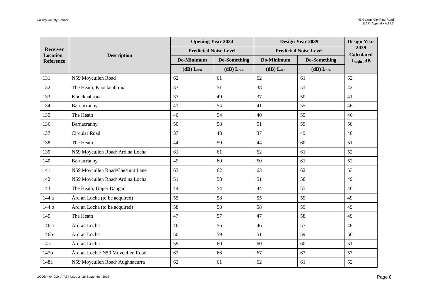|                             |                                  | <b>Opening Year 2024</b>     |                  | Design Year 2039 |                              | <b>Design Year</b>        |
|-----------------------------|----------------------------------|------------------------------|------------------|------------------|------------------------------|---------------------------|
| Receiver<br><b>Location</b> | <b>Description</b>               | <b>Predicted Noise Level</b> |                  |                  | <b>Predicted Noise Level</b> | 2039<br><b>Calculated</b> |
| <b>Reference</b>            |                                  | Do-Minimum                   | Do-Something     | Do-Minimum       | Do-Something                 | $L_{night}$ , dB          |
|                             |                                  | $(dB)$ L <sub>den</sub>      | $(dB)$ $L_{den}$ | $(dB)$ $L_{den}$ | $(dB)$ $L_{den}$             |                           |
| 131                         | N59 Moycullen Road               | 62                           | 61               | 62               | 61                           | 52                        |
| 132                         | The Heath, Knocknabrona          | 37                           | 51               | 38               | 51                           | 42                        |
| 133                         | Knocknabrona                     | 37                           | 49               | 37               | 50                           | 41                        |
| 134                         | Barnacranny                      | 41                           | 54               | 41               | 55                           | 46                        |
| 135                         | The Heath                        | 40                           | 54               | 40               | 55                           | 46                        |
| 136                         | Barnacranny                      | 50                           | 58               | 51               | 59                           | 50                        |
| 137                         | Circular Road                    | 37                           | 48               | 37               | 49                           | 40                        |
| 138                         | The Heath                        | 44                           | 59               | 44               | 60                           | 51                        |
| 139                         | N59 Moycullen Road/ Ard na Locha | 61                           | 61               | 62               | 61                           | 52                        |
| 140                         | Barnacranny                      | 49                           | 60               | 50               | 61                           | 52                        |
| 141                         | N59 Moycullen Road/Chestnut Lane | 63                           | 62               | 63               | 62                           | 53                        |
| 142                         | N59 Moycullen Road/ Ard na Locha | 51                           | 58               | 51               | 58                           | 49                        |
| 143                         | The Heath, Upper Dangan          | 44                           | 54               | 44               | 55                           | 46                        |
| 144 a                       | Árd an Locha (to be acquired)    | 55                           | 58               | 55               | 59                           | 49                        |
| 144 b                       | Árd an Locha (to be acquired)    | 58                           | 58               | 58               | 59                           | 49                        |
| 145                         | The Heath                        | 47                           | 57               | 47               | 58                           | 49                        |
| 146 a                       | Árd an Locha                     | 46                           | 56               | 46               | 57                           | 48                        |
| 146b                        | Árd an Locha                     | 50                           | 59               | 51               | 59                           | 50                        |
| 147a                        | Árd an Locha                     | 59                           | 60               | 60               | 60                           | 51                        |
| 147b                        | Árd an Locha/ N59 Moycullen Road | 67                           | 66               | 67               | 67                           | 57                        |
| 148a                        | N59 Moycullen Road/ Aughnacurra  | 62                           | 61               | 62               | 61                           | 52                        |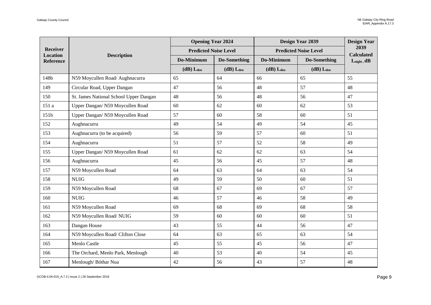|                                     |                                        | <b>Opening Year 2024</b>     |                     | Design Year 2039          |                              | <b>Design Year</b>        |
|-------------------------------------|----------------------------------------|------------------------------|---------------------|---------------------------|------------------------------|---------------------------|
| Receiver                            |                                        | <b>Predicted Noise Level</b> |                     |                           | <b>Predicted Noise Level</b> | 2039<br><b>Calculated</b> |
| <b>Location</b><br><b>Reference</b> | <b>Description</b>                     | Do-Minimum                   | <b>Do-Something</b> | Do-Minimum                | <b>Do-Something</b>          | $L_{night}$ , dB          |
|                                     |                                        | $(dB)$ $L_{den}$             | $(dB)$ $L_{den}$    | $(dB)$ $L$ <sub>den</sub> | $(dB)$ $L_{den}$             |                           |
| 148b                                | N59 Moycullen Road/ Aughnacurra        | 65                           | 64                  | 66                        | 65                           | 55                        |
| 149                                 | Circular Road, Upper Dangan            | 47                           | 56                  | 48                        | 57                           | 48                        |
| 150                                 | St. James National School Upper Dangan | 48                           | 56                  | 48                        | 56                           | 47                        |
| 151 a                               | Upper Dangan/ N59 Moycullen Road       | 60                           | 62                  | 60                        | 62                           | 53                        |
| 151b                                | Upper Dangan/ N59 Moycullen Road       | 57                           | 60                  | 58                        | 60                           | 51                        |
| 152                                 | Aughnacurra                            | 49                           | 54                  | 49                        | 54                           | 45                        |
| 153                                 | Aughnacurra (to be acquired)           | 56                           | 59                  | 57                        | 60                           | 51                        |
| 154                                 | Aughnacurra                            | 51                           | 57                  | 52                        | 58                           | 49                        |
| 155                                 | Upper Dangan/ N59 Moycullen Road       | 61                           | 62                  | 62                        | 63                           | 54                        |
| 156                                 | Aughnacurra                            | 45                           | 56                  | 45                        | 57                           | 48                        |
| 157                                 | N59 Moycullen Road                     | 64                           | 63                  | 64                        | 63                           | 54                        |
| 158                                 | <b>NUIG</b>                            | 49                           | 59                  | 50                        | 60                           | 51                        |
| 159                                 | N59 Moycullen Road                     | 68                           | 67                  | 69                        | 67                           | 57                        |
| 160                                 | <b>NUIG</b>                            | 46                           | 57                  | 46                        | 58                           | 49                        |
| 161                                 | N59 Moycullen Road                     | 69                           | 68                  | 69                        | 68                           | 58                        |
| 162                                 | N59 Moycullen Road/ NUIG               | 59                           | 60                  | 60                        | 60                           | 51                        |
| 163                                 | Dangan House                           | 43                           | 55                  | 44                        | 56                           | 47                        |
| 164                                 | N59 Moycullen Road/ Clifton Close      | 64                           | 63                  | 65                        | 63                           | 54                        |
| 165                                 | Menlo Castle                           | 45                           | 55                  | 45                        | 56                           | 47                        |
| 166                                 | The Orchard, Menlo Park, Menlough      | 40                           | 53                  | 40                        | 54                           | 45                        |
| 167                                 | Menlough/Bóthar Nua                    | 42                           | 56                  | 43                        | 57                           | 48                        |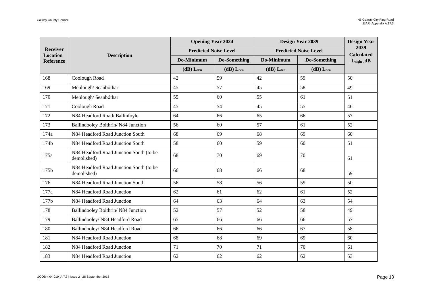|                                     |                                                        | <b>Opening Year 2024</b>     |                  | Design Year 2039        |                              | <b>Design Year</b>        |
|-------------------------------------|--------------------------------------------------------|------------------------------|------------------|-------------------------|------------------------------|---------------------------|
| <b>Receiver</b>                     |                                                        | <b>Predicted Noise Level</b> |                  |                         | <b>Predicted Noise Level</b> | 2039<br><b>Calculated</b> |
| <b>Location</b><br><b>Reference</b> | <b>Description</b>                                     | Do-Minimum                   | Do-Something     | Do-Minimum              | Do-Something                 | $L_{night}$ , dB          |
|                                     |                                                        | $(dB)$ L <sub>den</sub>      | $(dB)$ $L_{den}$ | $(dB)$ L <sub>den</sub> | $(dB)$ $L_{den}$             |                           |
| 168                                 | Coolough Road                                          | 42                           | 59               | 42                      | 59                           | 50                        |
| 169                                 | Menlough/Seanbóthar                                    | 45                           | 57               | 45                      | 58                           | 49                        |
| 170                                 | Menlough/Seanbóthar                                    | 55                           | 60               | 55                      | 61                           | 51                        |
| 171                                 | Coolough Road                                          | 45                           | 54               | 45                      | 55                           | 46                        |
| 172                                 | N84 Headford Road/ Ballinfoyle                         | 64                           | 66               | 65                      | 66                           | 57                        |
| 173                                 | Ballindooley Boithrin/N84 Junction                     | 56                           | 60               | 57                      | 61                           | 52                        |
| 174a                                | N84 Headford Road Junction South                       | 68                           | 69               | 68                      | 69                           | 60                        |
| 174b                                | N84 Headford Road Junction South                       | 58                           | 60               | 59                      | 60                           | 51                        |
| 175a                                | N84 Headford Road Junction South (to be<br>demolished) | 68                           | 70               | 69                      | 70                           | 61                        |
| 175b                                | N84 Headford Road Junction South (to be<br>demolished) | 66                           | 68               | 66                      | 68                           | 59                        |
| 176                                 | N84 Headford Road Junction South                       | 56                           | 58               | 56                      | 59                           | 50                        |
| 177a                                | N84 Headford Road Junction                             | 62                           | 61               | 62                      | 61                           | 52                        |
| 177b                                | N84 Headford Road Junction                             | 64                           | 63               | 64                      | 63                           | 54                        |
| 178                                 | Ballindooley Boithrin/N84 Junction                     | 52                           | 57               | 52                      | 58                           | 49                        |
| 179                                 | Ballindooley/ N84 Headford Road                        | 65                           | 66               | 66                      | 66                           | 57                        |
| 180                                 | Ballindooley/ N84 Headford Road                        | 66                           | 66               | 66                      | 67                           | 58                        |
| 181                                 | N84 Headford Road Junction                             | 68                           | 68               | 69                      | 69                           | 60                        |
| 182                                 | N84 Headford Road Junction                             | 71                           | 70               | 71                      | 70                           | 61                        |
| 183                                 | N84 Headford Road Junction                             | 62                           | 62               | 62                      | 62                           | 53                        |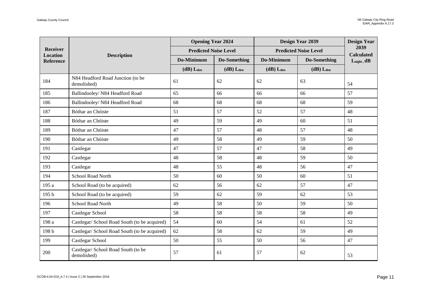|                                    |                                                    | <b>Opening Year 2024</b>     |                  | Design Year 2039 |                              | <b>Design Year</b>        |
|------------------------------------|----------------------------------------------------|------------------------------|------------------|------------------|------------------------------|---------------------------|
| <b>Receiver</b><br><b>Location</b> |                                                    | <b>Predicted Noise Level</b> |                  |                  | <b>Predicted Noise Level</b> | 2039<br><b>Calculated</b> |
| <b>Reference</b>                   | <b>Description</b>                                 | Do-Minimum                   | Do-Something     | Do-Minimum       | Do-Something                 | $L_{night}$ , dB          |
|                                    |                                                    | $(dB)$ Lden                  | $(dB)$ $L_{den}$ | $(dB)$ $L_{den}$ | $(dB)$ $L_{den}$             |                           |
| 184                                | N84 Headford Road Junction (to be<br>demolished)   | 61                           | 62               | 62               | 63                           | 54                        |
| 185                                | Ballindooley/ N84 Headford Road                    | 65                           | 66               | 66               | 66                           | 57                        |
| 186                                | Ballindooley/ N84 Headford Road                    | 68                           | 68               | 68               | 68                           | 59                        |
| 187                                | Bóthar an Chóiste                                  | 51                           | 57               | 52               | 57                           | 48                        |
| 188                                | Bóthar an Chóiste                                  | 49                           | 59               | 49               | 60                           | 51                        |
| 189                                | Bóthar an Chóiste                                  | 47                           | 57               | 48               | 57                           | 48                        |
| 190                                | Bóthar an Chóiste                                  | 49                           | 58               | 49               | 59                           | 50                        |
| 191                                | Castlegar                                          | 47                           | 57               | 47               | 58                           | 49                        |
| 192                                | Castlegar                                          | 48                           | 58               | 48               | 59                           | 50                        |
| 193                                | Castlegar                                          | 48                           | 55               | 48               | 56                           | 47                        |
| 194                                | School Road North                                  | 50                           | 60               | 50               | 60                           | 51                        |
| 195 a                              | School Road (to be acquired)                       | 62                           | 56               | 62               | 57                           | 47                        |
| 195 b                              | School Road (to be acquired)                       | 59                           | 62               | 59               | 62                           | 53                        |
| 196                                | <b>School Road North</b>                           | 49                           | 58               | 50               | 59                           | 50                        |
| 197                                | Castlegar School                                   | 58                           | 58               | 58               | 58                           | 49                        |
| 198 a                              | Castlegar/ School Road South (to be acquired)      | 54                           | 60               | 54               | 61                           | 52                        |
| 198 b                              | Castlegar/ School Road South (to be acquired)      | 62                           | 58               | 62               | 59                           | 49                        |
| 199                                | Castlegar School                                   | 50                           | 55               | 50               | 56                           | 47                        |
| 200                                | Castlegar/ School Road South (to be<br>demolished) | 57                           | 61               | 57               | 62                           | 53                        |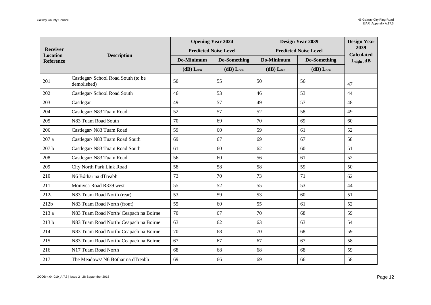|                             |                                                    | <b>Opening Year 2024</b>     |                  | <b>Design Year 2039</b> |                              | <b>Design Year</b>        |
|-----------------------------|----------------------------------------------------|------------------------------|------------------|-------------------------|------------------------------|---------------------------|
| Receiver<br><b>Location</b> |                                                    | <b>Predicted Noise Level</b> |                  |                         | <b>Predicted Noise Level</b> | 2039<br><b>Calculated</b> |
| <b>Reference</b>            | <b>Description</b>                                 | Do-Minimum                   | Do-Something     | Do-Minimum              | Do-Something                 | $L_{night}$ , dB          |
|                             |                                                    | $(dB)$ $L_{den}$             | $(dB)$ $L_{den}$ | $(dB)$ $L_{den}$        | $(dB)$ $L_{den}$             |                           |
| 201                         | Castlegar/ School Road South (to be<br>demolished) | 50                           | 55               | 50                      | 56                           | 47                        |
| 202                         | Castlegar/ School Road South                       | 46                           | 53               | 46                      | 53                           | 44                        |
| 203                         | Castlegar                                          | 49                           | 57               | 49                      | 57                           | 48                        |
| 204                         | Castlegar/ N83 Tuam Road                           | 52                           | 57               | 52                      | 58                           | 49                        |
| 205                         | N83 Tuam Road South                                | 70                           | 69               | 70                      | 69                           | 60                        |
| 206                         | Castlegar/ N83 Tuam Road                           | 59                           | 60               | 59                      | 61                           | 52                        |
| $207\ \rm{a}$               | Castlegar/ N83 Tuam Road South                     | 69                           | 67               | 69                      | 67                           | 58                        |
| 207 <sub>b</sub>            | Castlegar/ N83 Tuam Road South                     | 61                           | 60               | 62                      | 60                           | 51                        |
| 208                         | Castlegar/ N83 Tuam Road                           | 56                           | 60               | 56                      | 61                           | 52                        |
| 209                         | City North Park Link Road                          | 58                           | 58               | 58                      | 59                           | 50                        |
| 210                         | N6 Bóthar na dTreabh                               | 73                           | 70               | 73                      | 71                           | 62                        |
| 211                         | Monivea Road R339 west                             | 55                           | 52               | 55                      | 53                           | 44                        |
| 212a                        | N83 Tuam Road North (rear)                         | 53                           | 59               | 53                      | 60                           | 51                        |
| 212b                        | N83 Tuam Road North (front)                        | 55                           | 60               | 55                      | 61                           | 52                        |
| 213 a                       | N83 Tuam Road North/ Ceapach na Boirne             | 70                           | 67               | 70                      | 68                           | 59                        |
| 213 <sub>b</sub>            | N83 Tuam Road North/ Ceapach na Boirne             | 63                           | 62               | 63                      | 63                           | 54                        |
| 214                         | N83 Tuam Road North/ Ceapach na Boirne             | 70                           | 68               | 70                      | 68                           | 59                        |
| 215                         | N83 Tuam Road North/ Ceapach na Boirne             | 67                           | 67               | 67                      | 67                           | 58                        |
| 216                         | N17 Tuam Road North                                | 68                           | 68               | 68                      | 68                           | 59                        |
| 217                         | The Meadows/N6 Bóthar na dTreabh                   | 69                           | 66               | 69                      | 66                           | 58                        |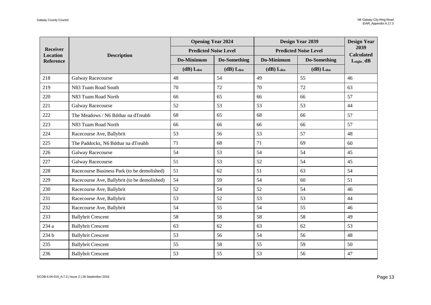| Receiver<br><b>Location</b><br><b>Reference</b> | <b>Description</b>                           | <b>Opening Year 2024</b>     |              | <b>Design Year 2039</b>      |                  | <b>Design Year</b><br>2039<br><b>Calculated</b> |
|-------------------------------------------------|----------------------------------------------|------------------------------|--------------|------------------------------|------------------|-------------------------------------------------|
|                                                 |                                              | <b>Predicted Noise Level</b> |              | <b>Predicted Noise Level</b> |                  |                                                 |
|                                                 |                                              | Do-Minimum                   | Do-Something | Do-Minimum                   | Do-Something     | $L_{night}$ , dB                                |
|                                                 |                                              | $(dB)$ $L_{den}$             | $(dB)$ Lden  | $(dB)$ $L_{den}$             | $(dB)$ $L_{den}$ |                                                 |
| 218                                             | Galway Racecourse                            | 48                           | 54           | 49                           | 55               | 46                                              |
| 219                                             | N83 Tuam Road South                          | 70                           | 72           | 70                           | 72               | 63                                              |
| 220                                             | N83 Tuam Road North                          | 66                           | 65           | 66                           | 66               | 57                                              |
| 221                                             | Galway Racecourse                            | 52                           | 53           | 53                           | 53               | 44                                              |
| 222                                             | The Meadows / N6 Bóthar na dTreabh           | 68                           | 65           | 68                           | 66               | 57                                              |
| 223                                             | N83 Tuam Road North                          | 66                           | 66           | 66                           | 66               | 57                                              |
| 224                                             | Racecourse Ave, Ballybrit                    | 53                           | 56           | 53                           | 57               | 48                                              |
| 225                                             | The Paddocks, N6 Bóthar na dTreabh           | 71                           | 68           | 71                           | 69               | 60                                              |
| 226                                             | Galway Racecourse                            | 54                           | 53           | 54                           | 54               | 45                                              |
| 227                                             | Galway Racecourse                            | 51                           | 53           | 52                           | 54               | 45                                              |
| 228                                             | Racecourse Business Park (to be demolished)  | 51                           | 62           | 51                           | 63               | 54                                              |
| 229                                             | Racecourse Ave, Ballybrit (to be demolished) | 54                           | 59           | 54                           | 60               | 51                                              |
| 230                                             | Racecourse Ave, Ballybrit                    | 52                           | 54           | 52                           | 54               | 46                                              |
| 231                                             | Racecourse Ave, Ballybrit                    | 53                           | 52           | 53                           | 53               | 44                                              |
| 232                                             | Racecourse Ave, Ballybrit                    | 54                           | 55           | 54                           | 55               | 46                                              |
| 233                                             | <b>Ballybrit Crescent</b>                    | 58                           | 58           | 58                           | 58               | 49                                              |
| 234 a                                           | <b>Ballybrit Crescent</b>                    | 63                           | 62           | 63                           | 62               | 53                                              |
| 234 b                                           | <b>Ballybrit Crescent</b>                    | 53                           | 56           | 54                           | 56               | 48                                              |
| 235                                             | <b>Ballybrit Crescent</b>                    | 55                           | 58           | 55                           | 59               | 50                                              |
| 236                                             | <b>Ballybrit Crescent</b>                    | 53                           | 55           | 53                           | 56               | 47                                              |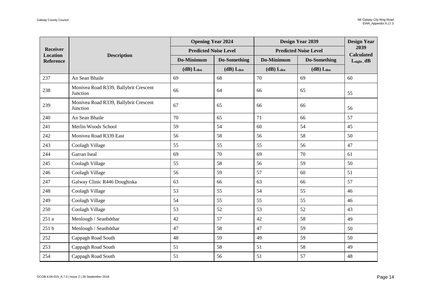| <b>Receiver</b><br><b>Location</b><br><b>Reference</b> | <b>Description</b>                                | <b>Opening Year 2024</b>     |                  | Design Year 2039             |                  | <b>Design Year</b><br>2039<br><b>Calculated</b> |
|--------------------------------------------------------|---------------------------------------------------|------------------------------|------------------|------------------------------|------------------|-------------------------------------------------|
|                                                        |                                                   | <b>Predicted Noise Level</b> |                  | <b>Predicted Noise Level</b> |                  |                                                 |
|                                                        |                                                   | Do-Minimum                   | Do-Something     | Do-Minimum                   | Do-Something     | $L_{night}, dB$                                 |
|                                                        |                                                   | $(dB)$ L <sub>den</sub>      | $(dB)$ $L_{den}$ | $(dB)$ L <sub>den</sub>      | $(dB)$ $L_{den}$ |                                                 |
| 237                                                    | An Sean Bhaile                                    | 69                           | 68               | 70                           | 69               | 60                                              |
| 238                                                    | Monivea Road R339, Ballybrit Crescent<br>Junction | 66                           | 64               | 66                           | 65               | 55                                              |
| 239                                                    | Monivea Road R339, Ballybrit Crescent<br>Junction | 67                           | 65               | 66                           | 66               | 56                                              |
| 240                                                    | An Sean Bhaile                                    | 70                           | 65               | 71                           | 66               | 57                                              |
| 241                                                    | Merlin Woods School                               | 59                           | 54               | 60                           | 54               | 45                                              |
| 242                                                    | Monivea Road R339 East                            | 56                           | 58               | 56                           | 58               | 50                                              |
| 243                                                    | Coolagh Village                                   | 55                           | 55               | 55                           | 56               | 47                                              |
| 244                                                    | Garran Iseal                                      | 69                           | 70               | 69                           | 70               | 61                                              |
| 245                                                    | Coolagh Village                                   | 55                           | 58               | 56                           | 59               | 50                                              |
| 246                                                    | Coolagh Village                                   | 56                           | 59               | 57                           | 60               | 51                                              |
| 247                                                    | Galway Clinic R446 Doughiska                      | 63                           | 66               | 63                           | 66               | 57                                              |
| 248                                                    | Coolagh Village                                   | 53                           | 55               | 54                           | 55               | 46                                              |
| 249                                                    | Coolagh Village                                   | 54                           | 55               | 55                           | 55               | 46                                              |
| 250                                                    | Coolagh Village                                   | 53                           | 52               | 53                           | 52               | 43                                              |
| 251a                                                   | Menlough / Seanbóthar                             | 42                           | 57               | 42                           | 58               | 49                                              |
| 251 b                                                  | Menlough / Seanbóthar                             | 47                           | 58               | 47                           | 59               | 50                                              |
| 252                                                    | Cappagh Road South                                | 48                           | 59               | 49                           | 59               | 50                                              |
| 253                                                    | Cappagh Road South                                | 51                           | 58               | 51                           | 58               | 49                                              |
| 254                                                    | Cappagh Road South                                | 51                           | 56               | 51                           | 57               | 48                                              |